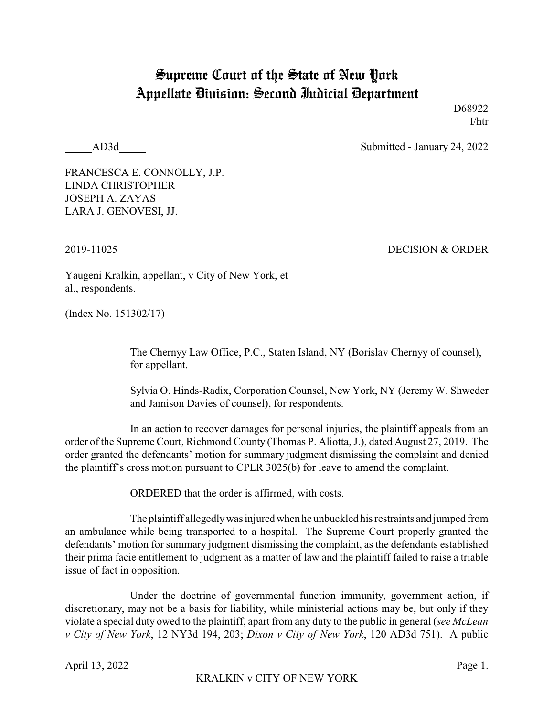## Supreme Court of the State of New York Appellate Division: Second Judicial Department

D68922 I/htr

AD3d Submitted - January 24, 2022

FRANCESCA E. CONNOLLY, J.P. LINDA CHRISTOPHER JOSEPH A. ZAYAS LARA J. GENOVESI, JJ.

2019-11025 DECISION & ORDER

Yaugeni Kralkin, appellant, v City of New York, et al., respondents.

(Index No. 151302/17)

The Chernyy Law Office, P.C., Staten Island, NY (Borislav Chernyy of counsel), for appellant.

Sylvia O. Hinds-Radix, Corporation Counsel, New York, NY (Jeremy W. Shweder and Jamison Davies of counsel), for respondents.

In an action to recover damages for personal injuries, the plaintiff appeals from an order of the Supreme Court, Richmond County (Thomas P. Aliotta, J.), dated August 27, 2019. The order granted the defendants' motion for summary judgment dismissing the complaint and denied the plaintiff's cross motion pursuant to CPLR 3025(b) for leave to amend the complaint.

ORDERED that the order is affirmed, with costs.

The plaintiff allegedlywas injuredwhen he unbuckled his restraints and jumped from an ambulance while being transported to a hospital. The Supreme Court properly granted the defendants' motion for summary judgment dismissing the complaint, as the defendants established their prima facie entitlement to judgment as a matter of law and the plaintiff failed to raise a triable issue of fact in opposition.

Under the doctrine of governmental function immunity, government action, if discretionary, may not be a basis for liability, while ministerial actions may be, but only if they violate a special duty owed to the plaintiff, apart from any duty to the public in general (*see McLean v City of New York*, 12 NY3d 194, 203; *Dixon v City of New York*, 120 AD3d 751). A public